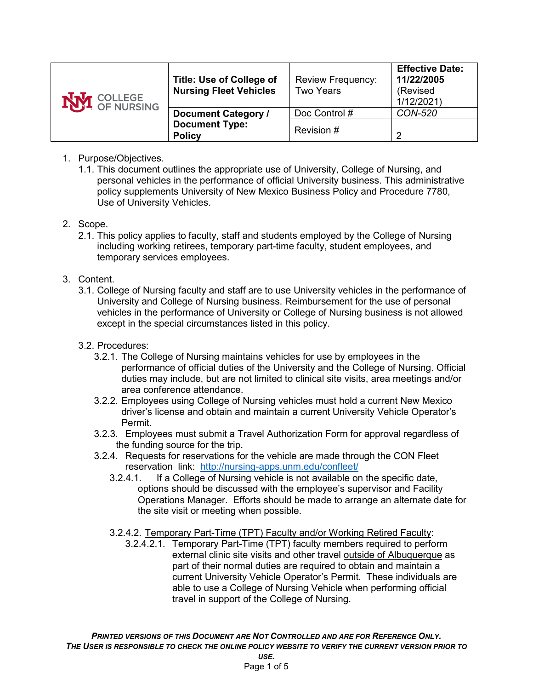| <b>NVI</b> COLLEGE | Title: Use of College of<br><b>Nursing Fleet Vehicles</b> | <b>Review Frequency:</b><br><b>Two Years</b> | <b>Effective Date:</b><br>11/22/2005<br>(Revised<br>1/12/2021) |
|--------------------|-----------------------------------------------------------|----------------------------------------------|----------------------------------------------------------------|
|                    | <b>Document Category /</b>                                | Doc Control #                                | <b>CON-520</b>                                                 |
|                    | <b>Document Type:</b><br><b>Policy</b>                    | Revision #                                   | 2                                                              |

## 1. Purpose/Objectives.

1.1. This document outlines the appropriate use of University, College of Nursing, and personal vehicles in the performance of official University business. This administrative policy supplements University of New Mexico Business Policy and Procedure 7780, Use of University Vehicles.

#### 2. Scope.

2.1. This policy applies to faculty, staff and students employed by the College of Nursing including working retirees, temporary part-time faculty, student employees, and temporary services employees.

# 3. Content.

3.1. College of Nursing faculty and staff are to use University vehicles in the performance of University and College of Nursing business. Reimbursement for the use of personal vehicles in the performance of University or College of Nursing business is not allowed except in the special circumstances listed in this policy.

## 3.2. Procedures:

- 3.2.1. The College of Nursing maintains vehicles for use by employees in the performance of official duties of the University and the College of Nursing. Official duties may include, but are not limited to clinical site visits, area meetings and/or area conference attendance.
- 3.2.2. Employees using College of Nursing vehicles must hold a current New Mexico driver's license and obtain and maintain a current University Vehicle Operator's Permit.
- 3.2.3. Employees must submit a Travel Authorization Form for approval regardless of the funding source for the trip.
- 3.2.4. Requests for reservations for the vehicle are made through the CON Fleet reservation link: <http://nursing-apps.unm.edu/confleet/>
	- 3.2.4.1. If a College of Nursing vehicle is not available on the specific date, options should be discussed with the employee's supervisor and Facility Operations Manager. Efforts should be made to arrange an alternate date for the site visit or meeting when possible.
	- 3.2.4.2. Temporary Part-Time (TPT) Faculty and/or Working Retired Faculty:
		- 3.2.4.2.1. Temporary Part-Time (TPT) faculty members required to perform external clinic site visits and other travel outside of Albuquerque as part of their normal duties are required to obtain and maintain a current University Vehicle Operator's Permit. These individuals are able to use a College of Nursing Vehicle when performing official travel in support of the College of Nursing.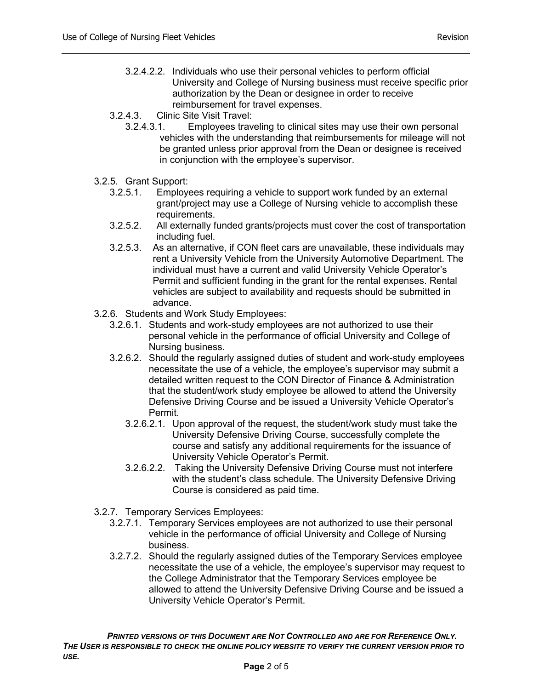- 3.2.4.2.2. Individuals who use their personal vehicles to perform official University and College of Nursing business must receive specific prior authorization by the Dean or designee in order to receive reimbursement for travel expenses.
- 3.2.4.3. Clinic Site Visit Travel:
	- 3.2.4.3.1. Employees traveling to clinical sites may use their own personal vehicles with the understanding that reimbursements for mileage will not be granted unless prior approval from the Dean or designee is received in conjunction with the employee's supervisor.
- 3.2.5. Grant Support:
	- 3.2.5.1. Employees requiring a vehicle to support work funded by an external grant/project may use a College of Nursing vehicle to accomplish these requirements.
	- 3.2.5.2. All externally funded grants/projects must cover the cost of transportation including fuel.
	- 3.2.5.3. As an alternative, if CON fleet cars are unavailable, these individuals may rent a University Vehicle from the University Automotive Department. The individual must have a current and valid University Vehicle Operator's Permit and sufficient funding in the grant for the rental expenses. Rental vehicles are subject to availability and requests should be submitted in advance.
- 3.2.6. Students and Work Study Employees:
	- 3.2.6.1. Students and work-study employees are not authorized to use their personal vehicle in the performance of official University and College of Nursing business.
	- 3.2.6.2. Should the regularly assigned duties of student and work-study employees necessitate the use of a vehicle, the employee's supervisor may submit a detailed written request to the CON Director of Finance & Administration that the student/work study employee be allowed to attend the University Defensive Driving Course and be issued a University Vehicle Operator's Permit.
		- 3.2.6.2.1. Upon approval of the request, the student/work study must take the University Defensive Driving Course, successfully complete the course and satisfy any additional requirements for the issuance of University Vehicle Operator's Permit.
		- 3.2.6.2.2. Taking the University Defensive Driving Course must not interfere with the student's class schedule. The University Defensive Driving Course is considered as paid time.
- 3.2.7. Temporary Services Employees:
	- 3.2.7.1. Temporary Services employees are not authorized to use their personal vehicle in the performance of official University and College of Nursing business.
	- 3.2.7.2. Should the regularly assigned duties of the Temporary Services employee necessitate the use of a vehicle, the employee's supervisor may request to the College Administrator that the Temporary Services employee be allowed to attend the University Defensive Driving Course and be issued a University Vehicle Operator's Permit.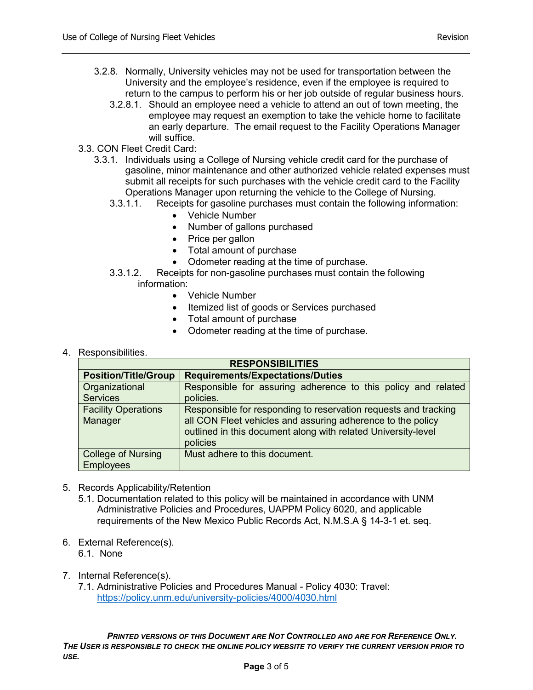- 3.2.8. Normally, University vehicles may not be used for transportation between the University and the employee's residence, even if the employee is required to return to the campus to perform his or her job outside of regular business hours.
	- 3.2.8.1. Should an employee need a vehicle to attend an out of town meeting, the employee may request an exemption to take the vehicle home to facilitate an early departure. The email request to the Facility Operations Manager will suffice.
- 3.3. CON Fleet Credit Card:
	- 3.3.1. Individuals using a College of Nursing vehicle credit card for the purchase of gasoline, minor maintenance and other authorized vehicle related expenses must submit all receipts for such purchases with the vehicle credit card to the Facility Operations Manager upon returning the vehicle to the College of Nursing.
		- 3.3.1.1. Receipts for gasoline purchases must contain the following information:
			- Vehicle Number
			- Number of gallons purchased
			- Price per gallon
			- Total amount of purchase
			- Odometer reading at the time of purchase.
		- 3.3.1.2. Receipts for non-gasoline purchases must contain the following
			- information:
				- Vehicle Number
				- Itemized list of goods or Services purchased
				- Total amount of purchase
				- Odometer reading at the time of purchase.
- 4. Responsibilities.

| <b>RESPONSIBILITIES</b>                       |                                                                                                                                                                                                             |  |  |  |  |
|-----------------------------------------------|-------------------------------------------------------------------------------------------------------------------------------------------------------------------------------------------------------------|--|--|--|--|
| <b>Position/Title/Group</b>                   | <b>Requirements/Expectations/Duties</b>                                                                                                                                                                     |  |  |  |  |
| Organizational<br><b>Services</b>             | Responsible for assuring adherence to this policy and related<br>policies.                                                                                                                                  |  |  |  |  |
| <b>Facility Operations</b><br>Manager         | Responsible for responding to reservation requests and tracking<br>all CON Fleet vehicles and assuring adherence to the policy<br>outlined in this document along with related University-level<br>policies |  |  |  |  |
| <b>College of Nursing</b><br><b>Employees</b> | Must adhere to this document.                                                                                                                                                                               |  |  |  |  |

- 5. Records Applicability/Retention
	- 5.1. Documentation related to this policy will be maintained in accordance with UNM Administrative Policies and Procedures, UAPPM Policy 6020, and applicable requirements of the New Mexico Public Records Act, N.M.S.A § 14-3-1 et. seq.
- 6. External Reference(s).
	- 6.1. None
- 7. Internal Reference(s).
	- 7.1. Administrative Policies and Procedures Manual Policy 4030: Travel: <https://policy.unm.edu/university-policies/4000/4030.html>

*PRINTED VERSIONS OF THIS DOCUMENT ARE NOT CONTROLLED AND ARE FOR REFERENCE ONLY. THE USER IS RESPONSIBLE TO CHECK THE ONLINE POLICY WEBSITE TO VERIFY THE CURRENT VERSION PRIOR TO USE.*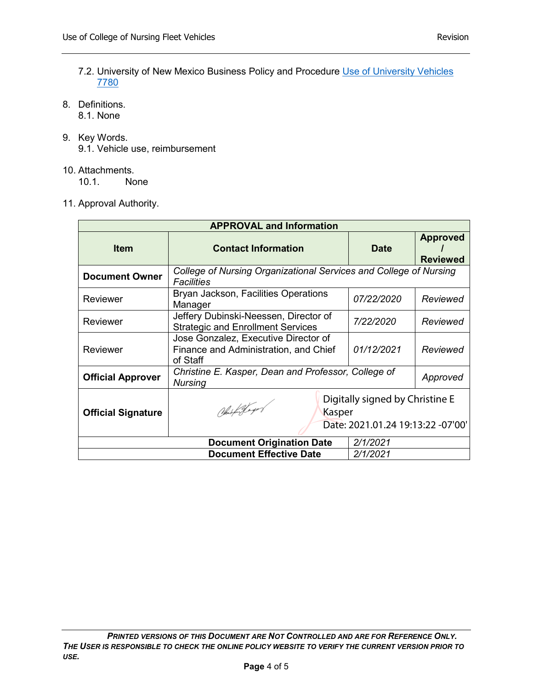- 7.2. University of New Mexico Business Policy and Procedure [Use of University Vehicles](https://policy.unm.edu/university-policies/7000/7780.html) [7780](https://policy.unm.edu/university-policies/7000/7780.html)
- 8. Definitions.
	- 8.1. None
- 9. Key Words. 9.1. Vehicle use, reimbursement
- 10. Attachments.

10.1. None

11. Approval Authority.

| <b>APPROVAL and Information</b>  |                                                                                                 |                   |                                    |  |  |
|----------------------------------|-------------------------------------------------------------------------------------------------|-------------------|------------------------------------|--|--|
| <b>Item</b>                      | <b>Contact Information</b>                                                                      | <b>Date</b>       | <b>Approved</b><br><b>Reviewed</b> |  |  |
| <b>Document Owner</b>            | College of Nursing Organizational Services and College of Nursing<br><b>Facilities</b>          |                   |                                    |  |  |
| Reviewer                         | Bryan Jackson, Facilities Operations<br>Manager                                                 | <i>07/22/2020</i> | Reviewed                           |  |  |
| Reviewer                         | Jeffery Dubinski-Neessen, Director of<br><b>Strategic and Enrollment Services</b>               | 7/22/2020         | Reviewed                           |  |  |
| Reviewer                         | Jose Gonzalez, Executive Director of<br>Finance and Administration, and Chief<br>of Staff       | 01/12/2021        | Reviewed                           |  |  |
| <b>Official Approver</b>         | Christine E. Kasper, Dean and Professor, College of<br><b>Nursing</b>                           |                   | Approved                           |  |  |
| <b>Official Signature</b>        | Digitally signed by Christine E<br>Ohisfortbager<br>Kasper<br>Date: 2021.01.24 19:13:22 -07'00' |                   |                                    |  |  |
| <b>Document Origination Date</b> |                                                                                                 | 2/1/2021          |                                    |  |  |
| <b>Document Effective Date</b>   |                                                                                                 | 2/1/2021          |                                    |  |  |

*PRINTED VERSIONS OF THIS DOCUMENT ARE NOT CONTROLLED AND ARE FOR REFERENCE ONLY. THE USER IS RESPONSIBLE TO CHECK THE ONLINE POLICY WEBSITE TO VERIFY THE CURRENT VERSION PRIOR TO USE.*